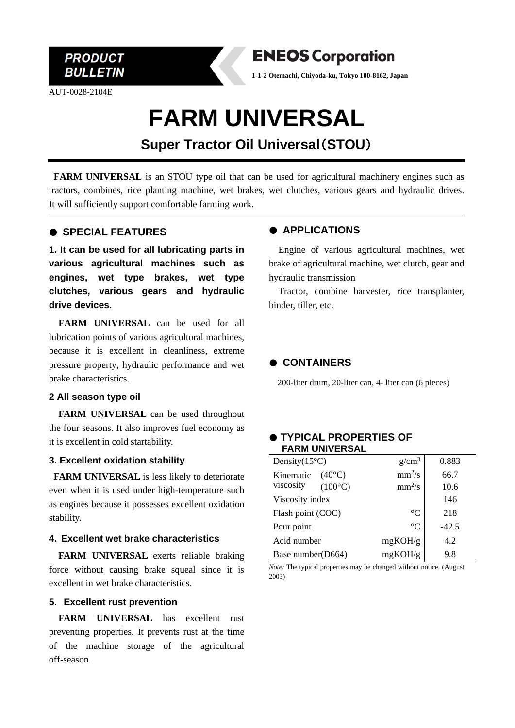

AUT-0028-2104E



**1-1-2 Otemachi, Chiyoda-ku, Tokyo 100-8162, Japan**

# **FARM UNIVERSAL**

# **Super Tractor Oil Universal**(**STOU**)

**FARM UNIVERSAL** is an STOU type oil that can be used for agricultural machinery engines such as tractors, combines, rice planting machine, wet brakes, wet clutches, various gears and hydraulic drives. It will sufficiently support comfortable farming work.

## ● **SPECIAL FEATURES**

**1. It can be used for all lubricating parts in various agricultural machines such as engines, wet type brakes, wet type clutches, various gears and hydraulic drive devices.**

**FARM UNIVERSAL** can be used for all lubrication points of various agricultural machines, because it is excellent in cleanliness, extreme pressure property, hydraulic performance and wet brake characteristics.

#### **2 All season type oil**

**FARM UNIVERSAL** can be used throughout the four seasons. It also improves fuel economy as it is excellent in cold startability.

#### **3. Excellent oxidation stability**

**FARM UNIVERSAL** is less likely to deteriorate even when it is used under high-temperature such as engines because it possesses excellent oxidation stability.

#### **4. Excellent wet brake characteristics**

**FARM UNIVERSAL** exerts reliable braking force without causing brake squeal since it is excellent in wet brake characteristics.

#### **5. Excellent rust prevention**

**FARM UNIVERSAL** has excellent rust preventing properties. It prevents rust at the time of the machine storage of the agricultural off-season.

## ● **APPLICATIONS**

Engine of various agricultural machines, wet brake of agricultural machine, wet clutch, gear and hydraulic transmission

Tractor, combine harvester, rice transplanter, binder, tiller, etc.

# ● **CONTAINERS**

200-liter drum, 20-liter can, 4- liter can (6 pieces)

#### ● **TYPICAL PROPERTIES OF FARM UNIVERSAL**

| Density $(15^{\circ}C)$       | $g/cm^3$    | 0.883 |
|-------------------------------|-------------|-------|
| $(40^{\circ}C)$<br>Kinematic  | $mm^2/s$    | 66.7  |
| viscosity<br>$(100^{\circ}C)$ | $mm^2/s$    | 10.6  |
| Viscosity index               |             | 146   |
| Flash point (COC)             | $^{\circ}C$ | 218   |
| Pour point                    | $^{\circ}C$ | -42.5 |
| Acid number                   | mgKOH/g     | 4.2   |
| Base number(D664)             | mgKOH/g     | 9.8   |

*Note:* The typical properties may be changed without notice. (August 2003)